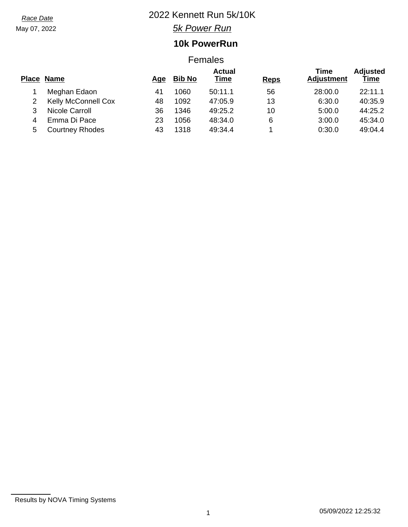May 07, 2022

# *Race Date* 2022 Kennett Run 5k/10K

*5k Power Run*

## **10k PowerRun**

### Females

|   | Place Name                 | Aqe | <b>Bib No</b> | <b>Actual</b><br>Time | <b>Reps</b> | Time<br><b>Adjustment</b> | <b>Adjusted</b><br>Time |
|---|----------------------------|-----|---------------|-----------------------|-------------|---------------------------|-------------------------|
|   | Meghan Edaon               | 41  | 1060          | 50:11.1               | 56          | 28:00.0                   | 22:11.1                 |
| 2 | <b>Kelly McConnell Cox</b> | 48  | 1092          | 47:05.9               | 13          | 6:30.0                    | 40:35.9                 |
| 3 | Nicole Carroll             | 36  | 1346          | 49:25.2               | 10          | 5:00.0                    | 44:25.2                 |
| 4 | Emma Di Pace               | 23  | 1056          | 48:34.0               | 6           | 3:00.0                    | 45:34.0                 |
| 5 | <b>Courtney Rhodes</b>     | 43  | 1318          | 49:34.4               |             | 0:30.0                    | 49:04.4                 |

Results by NOVA Timing Systems